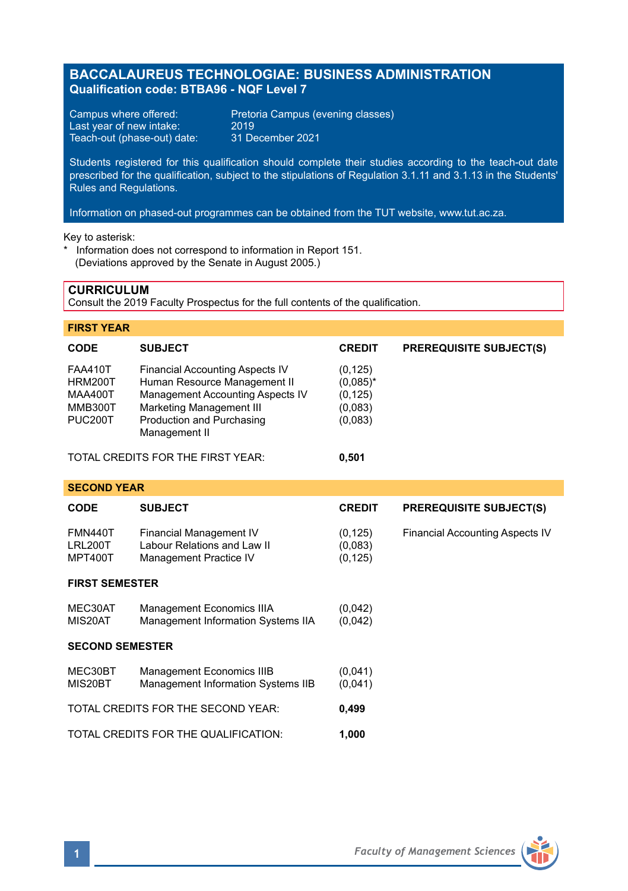## **BACCALAUREUS TECHNOLOGIAE: BUSINESS ADMINISTRATION Qualification code: BTBA96 - NQF Level 7**

Last year of new intake: 2019<br>Teach-out (phase-out) date: 31 December 2021 Teach-out (phase-out) date:

Campus where offered: Pretoria Campus (evening classes)<br>Last year of new intake: 2019

Students registered for this qualification should complete their studies according to the teach-out date prescribed for the qualification, subject to the stipulations of Regulation 3.1.11 and 3.1.13 in the Students' Rules and Regulations.

Information on phased-out programmes can be obtained from the TUT website, www.tut.ac.za.

Key to asterisk:

Information does not correspond to information in Report 151. (Deviations approved by the Senate in August 2005.)

### **CURRICULUM**

Consult the 2019 Faculty Prospectus for the full contents of the qualification.

### **FIRST YEAR**

| <b>CODE</b>                                                                                  | <b>SUBJECT</b>                                                                                                                                                                              | <b>CREDIT</b>                                             | <b>PREREQUISITE SUBJECT(S)</b> |  |
|----------------------------------------------------------------------------------------------|---------------------------------------------------------------------------------------------------------------------------------------------------------------------------------------------|-----------------------------------------------------------|--------------------------------|--|
| <b>FAA410T</b><br><b>HRM200T</b><br><b>MAA400T</b><br><b>MMB300T</b><br>PUC <sub>200</sub> T | <b>Financial Accounting Aspects IV</b><br>Human Resource Management II<br>Management Accounting Aspects IV<br><b>Marketing Management III</b><br>Production and Purchasing<br>Management II | (0, 125)<br>$(0.085)^*$<br>(0, 125)<br>(0,083)<br>(0,083) |                                |  |
| TOTAL CREDITS FOR THE FIRST YEAR:                                                            |                                                                                                                                                                                             | 0.501                                                     |                                |  |
| <b>SECOND YEAR</b>                                                                           |                                                                                                                                                                                             |                                                           |                                |  |
| $\cdots$                                                                                     | --------                                                                                                                                                                                    | -----                                                     |                                |  |

# **CODE SUBJECT CREDIT PREREQUISITE SUBJECT(S)** FMN440T Financial Management IV (0,125) Financial Accounting Aspects IV LRL200T Labour Relations and Law II (0,083)<br>MPT400T Management Practice IV (0,125) Management Practice IV

## **FIRST SEMESTER**

| MEC30AT                | Management Economics IIIA          | (0,042) |
|------------------------|------------------------------------|---------|
| MIS20AT                | Management Information Systems IIA | (0,042) |
| <b>SECOND SEMESTER</b> |                                    |         |
| MEC30BT                | Management Economics IIIB          | (0,041) |
| MIS20BT                | Management Information Systems IIB | (0.041) |
|                        | TOTAL CREDITS FOR THE SECOND YEAR: | 0.499   |

TOTAL CREDITS FOR THE QUALIFICATION: **1,000**

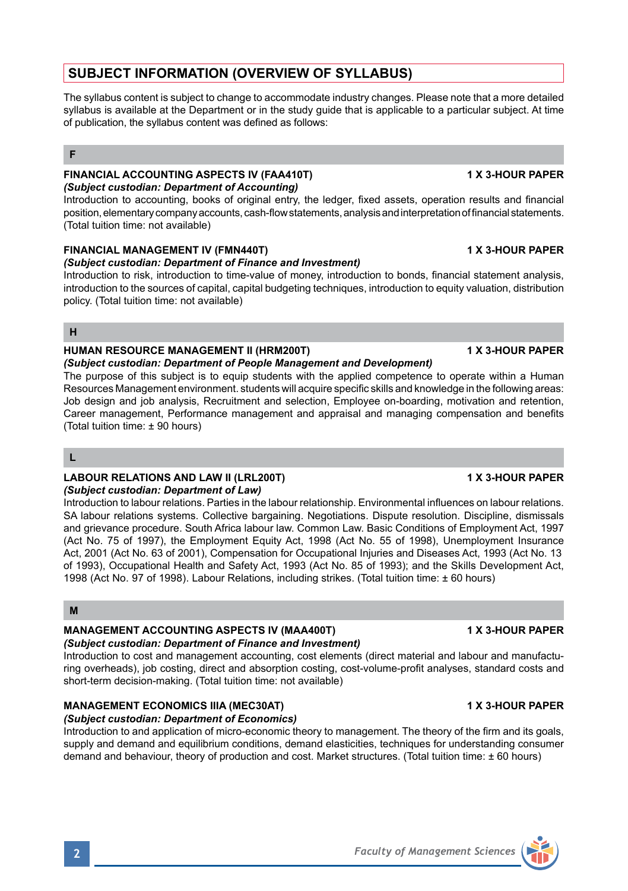# **SUBJECT INFORMATION (OVERVIEW OF SYLLABUS)**

The syllabus content is subject to change to accommodate industry changes. Please note that a more detailed syllabus is available at the Department or in the study guide that is applicable to a particular subject. At time of publication, the syllabus content was defined as follows:

### **F**

### **FINANCIAL ACCOUNTING ASPECTS IV (FAA410T) 1 X 3-HOUR PAPER** *(Subject custodian: Department of Accounting)*

Introduction to accounting, books of original entry, the ledger, fixed assets, operation results and financial position, elementary company accounts, cash-flow statements, analysis and interpretation of financial statements. (Total tuition time: not available)

## **FINANCIAL MANAGEMENT IV (FMN440T) 1 X 3-HOUR PAPER**

### *(Subject custodian: Department of Finance and Investment)*

Introduction to risk, introduction to time-value of money, introduction to bonds, financial statement analysis, introduction to the sources of capital, capital budgeting techniques, introduction to equity valuation, distribution policy. (Total tuition time: not available)

### **H**

### **HUMAN RESOURCE MANAGEMENT II (HRM200T) 1 X 3-HOUR PAPER**

*(Subject custodian: Department of People Management and Development)* The purpose of this subject is to equip students with the applied competence to operate within a Human Resources Management environment. students will acquire specific skills and knowledge in the following areas: Job design and job analysis, Recruitment and selection, Employee on-boarding, motivation and retention, Career management, Performance management and appraisal and managing compensation and benefits (Total tuition time: ± 90 hours)

### **L**

### **LABOUR RELATIONS AND LAW II (LRL200T) 1 X 3-HOUR PAPER**

### *(Subject custodian: Department of Law)*

Introduction to labour relations. Parties in the labour relationship. Environmental influences on labour relations. SA labour relations systems. Collective bargaining. Negotiations. Dispute resolution. Discipline, dismissals and grievance procedure. South Africa labour law. Common Law. Basic Conditions of Employment Act, 1997 (Act No. 75 of 1997), the Employment Equity Act, 1998 (Act No. 55 of 1998), Unemployment Insurance Act, 2001 (Act No. 63 of 2001), Compensation for Occupational Injuries and Diseases Act, 1993 (Act No. 13 of 1993), Occupational Health and Safety Act, 1993 (Act No. 85 of 1993); and the Skills Development Act, 1998 (Act No. 97 of 1998). Labour Relations, including strikes. (Total tuition time: ± 60 hours)

## **M**

### **MANAGEMENT ACCOUNTING ASPECTS IV (MAA400T) 1 X 3-HOUR PAPER**  *(Subject custodian: Department of Finance and Investment)*

Introduction to cost and management accounting, cost elements (direct material and labour and manufacturing overheads), job costing, direct and absorption costing, cost-volume-profit analyses, standard costs and short-term decision-making. (Total tuition time: not available)

# **MANAGEMENT ECONOMICS IIIA (MEC30AT) 1 X 3-HOUR PAPER**

*(Subject custodian: Department of Economics)* Introduction to and application of micro-economic theory to management. The theory of the firm and its goals, supply and demand and equilibrium conditions, demand elasticities, techniques for understanding consumer demand and behaviour, theory of production and cost. Market structures. (Total tuition time: ± 60 hours)